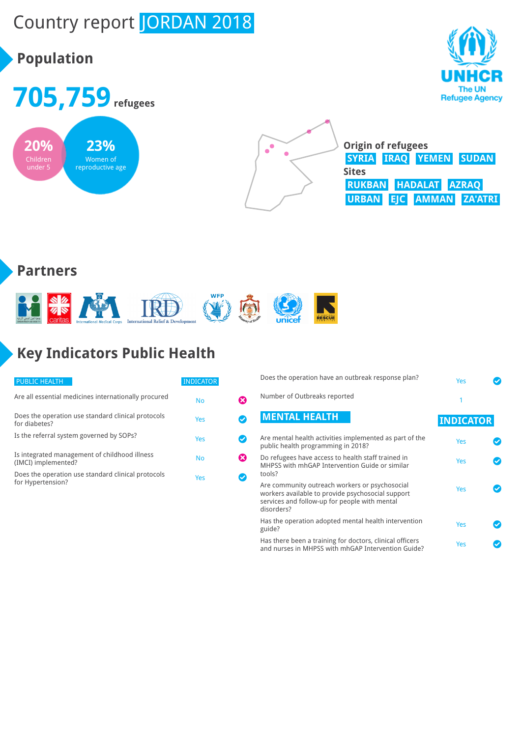# Country report JORDAN 2018

## **Population**







**Origin of refugees SYRIA IRAQ YEMEN SUDAN Sites RUKBAN HADALAT AZRAQ URBAN EJC AMMAN ZA'ATRI**

#### **Partners**



# **Key Indicators Public Health**

| <b>PUBLIC HEALTH</b>                                                    | <b>INDICATOR</b> |  |
|-------------------------------------------------------------------------|------------------|--|
| Are all essential medicines internationally procured                    | <b>No</b>        |  |
| Does the operation use standard clinical protocols<br>for diabetes?     | Yes              |  |
| Is the referral system governed by SOPs?                                | Yes              |  |
| Is integrated management of childhood illness<br>(IMCI) implemented?    | <b>No</b>        |  |
| Does the operation use standard clinical protocols<br>for Hypertension? | Yes              |  |

| Does the operation have an outbreak response plan?                                                                                                                 | Yes              |  |
|--------------------------------------------------------------------------------------------------------------------------------------------------------------------|------------------|--|
| Number of Outbreaks reported                                                                                                                                       | 1                |  |
| <b>MENTAL HEALTH</b>                                                                                                                                               | <b>INDICATOR</b> |  |
| Are mental health activities implemented as part of the<br>public health programming in 2018?                                                                      | Yes              |  |
| Do refugees have access to health staff trained in<br>MHPSS with mhGAP Intervention Guide or similar<br>tools?                                                     | Yes              |  |
| Are community outreach workers or psychosocial<br>workers available to provide psychosocial support<br>services and follow-up for people with mental<br>disorders? | Yes              |  |
| Has the operation adopted mental health intervention<br>guide?                                                                                                     | Yes              |  |
| Has there been a training for doctors, clinical officers<br>and nurses in MHPSS with mhGAP Intervention Guide?                                                     | Yes              |  |